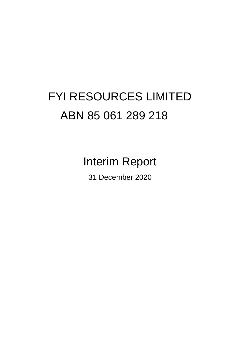# FYI RESOURCES LIMITED ABN 85 061 289 218

Interim Report

31 December 2020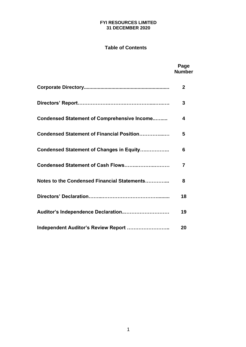## **FYI RESOURCES LIMITED 31 DECEMBER 2020**

## **Table of Contents**

## **Page Number Corporate Directory.............................................................. 2 Directors' Report……………….……….……………....…..…. 3 Condensed Statement of Comprehensive Income..…..... 4 Condensed Statement of Financial Position…………....… 5 Condensed Statement of Changes in Equity….………….. 6 Condensed Statement of Cash Flows……..………..……… 7 Notes to the Condensed Financial Statements…………... 8 Directors' Declaration……...……………………………......... 18 Auditor's Independence Declaration..……………………… 19 Independent Auditor's Review Report …………………….. 20**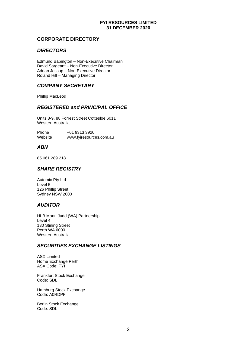## **FYI RESOURCES LIMITED 31 DECEMBER 2020**

## **CORPORATE DIRECTORY**

## *DIRECTORS*

Edmund Babington – Non-Executive Chairman David Sargeant – Non-Executive Director Adrian Jessup – Non-Executive Director Roland Hill – Managing Director

## *COMPANY SECRETARY*

Phillip MacLeod

## *REGISTERED and PRINCIPAL OFFICE*

Units 8-9, 88 Forrest Street Cottesloe 6011 Western Australia

Phone +61 9313 3920 Website [www.fyiresources.com.au](http://www.fyiresources.com.au/)

## *ABN*

85 061 289 218

## *SHARE REGISTRY*

Automic Pty Ltd Level 5 126 Phillip Street Sydney NSW 2000

## *AUDITOR*

HLB Mann Judd (WA) Partnership Level 4 130 Stirling Street Perth WA 6000 Western Australia

## *SECURITIES EXCHANGE LISTINGS*

ASX Limited Home Exchange Perth ASX Code: FYI

Frankfurt Stock Exchange Code: SDL

Hamburg Stock Exchange Code: A0RDPF

Berlin Stock Exchange Code: SDL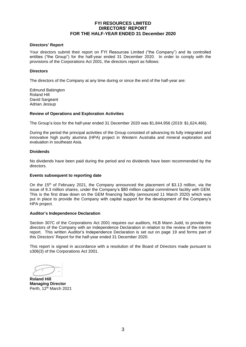## **FYI RESOURCES LIMITED DIRECTORS' REPORT FOR THE HALF-YEAR ENDED 31 December 2020**

#### **Directors' Report**

Your directors submit their report on FYI Resources Limited ("the Company") and its controlled entities ("the Group") for the half-year ended 31 December 2020. In order to comply with the provisions of the Corporations Act 2001, the directors report as follows:

#### **Directors**

The directors of the Company at any time during or since the end of the half-year are:

Edmund Babington Roland Hill David Sargeant Adrian Jessup

#### **Review of Operations and Exploration Activities**

The Group's loss for the half-year ended 31 December 2020 was \$1,844,956 (2019: \$1,624,466).

During the period the principal activities of the Group consisted of advancing its fully integrated and innovative high purity alumina (HPA) project in Western Australia and mineral exploration and evaluation in southeast Asia.

#### **Dividends**

No dividends have been paid during the period and no dividends have been recommended by the directors.

#### **Events subsequent to reporting date**

On the 15th of February 2021, the Company announced the placement of \$3.13 million, via the issue of 9.3 million shares, under the Company's \$80 million capital commitment facility with GEM. This is the first draw down on the GEM financing facility (announced 11 March 2020) which was put in place to provide the Company with capital support for the development of the Company's HPA project.

#### **Auditor's Independence Declaration**

Section 307C of the Corporations Act 2001 requires our auditors, HLB Mann Judd, to provide the directors of the Company with an Independence Declaration in relation to the review of the interim report. This written Auditor's Independence Declaration is set out on page 19 and forms part of this Directors' Report for the half-year ended 31 December 2020.

This report is signed in accordance with a resolution of the Board of Directors made pursuant to s306(3) of the Corporations Act 2001.

**Roland Hill Managing Director** Perth, 12<sup>th</sup> March 2021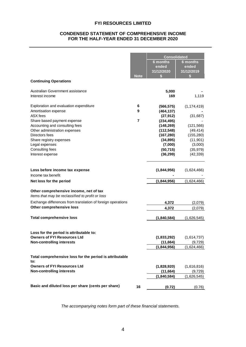## **CONDENSED STATEMENT OF COMPREHENSIVE INCOME FOR THE HALF-YEAR ENDED 31 DECEMBER 2020**

| <b>Continuing Operations</b>                                                               | <b>Note</b> | <b>Consolidated</b><br><b>6 months</b><br>ended<br>31/12/2020<br>S | <b>6 months</b><br>ended<br>31/12/2019<br>S |
|--------------------------------------------------------------------------------------------|-------------|--------------------------------------------------------------------|---------------------------------------------|
|                                                                                            |             |                                                                    |                                             |
| Australian Government assistance<br>Interest income                                        |             | 5,000<br>169                                                       | 1,119                                       |
| Exploration and evaluation expenditure                                                     | 6           | (566, 575)                                                         | (1, 174, 419)                               |
| Amortisation expense                                                                       | 9           | (464, 137)                                                         |                                             |
| ASX fees                                                                                   |             | (27, 912)                                                          | (31, 687)                                   |
| Share based payment expense                                                                | 7           | (234, 495)                                                         |                                             |
| Accounting and consulting fees<br>Other administration expenses                            |             | (148, 269)<br>(112, 548)                                           | (121, 566)<br>(49, 414)                     |
| Directors fees                                                                             |             | (167, 280)                                                         | (155, 280)                                  |
| Share registry expenses                                                                    |             | (34, 895)                                                          | (11, 901)                                   |
| Legal expenses                                                                             |             | (7,000)                                                            | (3,000)                                     |
| Consulting fees                                                                            |             | (50, 715)                                                          | (35, 979)                                   |
| Interest expense                                                                           |             | (36, 299)                                                          | (42, 339)                                   |
| Loss before income tax expense                                                             |             | (1,844,956)                                                        | (1,624,466)                                 |
| Income tax benefit                                                                         |             |                                                                    |                                             |
| Net loss for the period                                                                    |             | (1,844,956)                                                        | (1,624,466)                                 |
| Other comprehensive income, net of tax<br>Items that may be reclassified to profit or loss |             |                                                                    |                                             |
| Exchange differences from translation of foreign operations                                |             | 4,372                                                              | (2,079)                                     |
| Other comprehensive loss                                                                   |             | 4,372                                                              | (2,079)                                     |
| <b>Total comprehensive loss</b>                                                            |             | (1,840,584)                                                        | (1,626,545)                                 |
| Loss for the period is attributable to:                                                    |             |                                                                    |                                             |
| <b>Owners of FYI Resources Ltd</b>                                                         |             | (1,833,292)                                                        | (1,614,737)                                 |
| <b>Non-controlling interests</b>                                                           |             | (11, 664)<br>(1,844,956)                                           | (9,729)<br>(1,624,466)                      |
|                                                                                            |             |                                                                    |                                             |
| Total comprehensive loss for the period is attributable<br>to:                             |             |                                                                    |                                             |
| <b>Owners of FYI Resources Ltd</b>                                                         |             | (1,828,920)                                                        | (1,616,816)                                 |
| <b>Non-controlling interests</b>                                                           |             | (11, 664)                                                          | (9,729)                                     |
|                                                                                            |             | (1,840,584)                                                        | (1,626,545)                                 |
| Basic and diluted loss per share (cents per share)                                         | 16          | (0.72)                                                             | (0.76)                                      |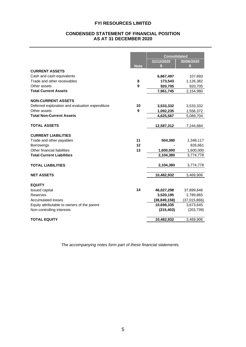#### **CONDENSED STATEMENT OF FINANCIAL POSITION AS AT 31 DECEMBER 2020**

|                                                 |             | <b>Consolidated</b> |              |
|-------------------------------------------------|-------------|---------------------|--------------|
|                                                 |             | 31/12/2020          | 30/06/2020   |
|                                                 | <b>Note</b> | S                   | \$           |
| <b>CURRENT ASSETS</b>                           |             |                     |              |
| Cash and cash equivalents                       |             | 6,867,497           | 107,893      |
| Trade and other receivables                     | 8           | 173,543             | 1,126,382    |
| Other assets                                    | 9           | 920,705             | 920,705      |
| <b>Total Current Assets</b>                     |             | 7,961,745           | 2,154,980    |
| <b>NON-CURRENT ASSETS</b>                       |             |                     |              |
| Deferred exploration and evaluation expenditure | 10          | 3,533,332           | 3,533,332    |
| Other assets                                    | 9           | 1,092,235           | 1,556,372    |
| <b>Total Non-Current Assets</b>                 |             | 4,625,567           | 5,089,704    |
| <b>TOTAL ASSETS</b>                             |             | 12,587,312          | 7,244,684    |
| <b>CURRENT LIABILITIES</b>                      |             |                     |              |
| Trade and other payables                        | 11          | 504,380             | 1,348,117    |
| <b>Borrowings</b>                               | 12          |                     | 826,661      |
| Other financial liabilities                     | 13          | 1,600,000           | 1,600,000    |
| <b>Total Current Liabilities</b>                |             | 2,104,380           | 3,774,778    |
| <b>TOTAL LIABILITIES</b>                        |             | 2,104,380           | 3,774,778    |
| <b>NET ASSETS</b>                               |             | 10,482,932          | 3,469,906    |
| <b>EQUITY</b>                                   |             |                     |              |
| <b>Issued capital</b>                           | 14          | 46,027,298          | 37,899,646   |
| Reserves                                        |             | 3,520,195           | 2,789,865    |
| <b>Accumulated losses</b>                       |             | (38, 849, 158)      | (37,015,866) |
| Equity attributable to owners of the parent     |             | 10,698,335          | 3,673,645    |
| Non-controlling interests                       |             | (215, 403)          | (203, 739)   |
| <b>TOTAL EQUITY</b>                             |             | 10,482,932          | 3,469,906    |
|                                                 |             |                     |              |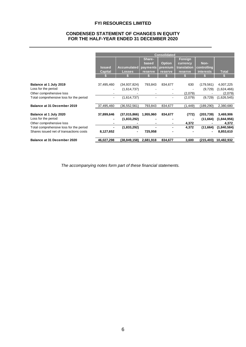## **CONDENSED STATEMENT OF CHANGES IN EQUITY FOR THE HALF-YEAR ENDED 31 DECEMBER 2020**

|                                         |                |                    |                      | <b>Consolidated</b>      |             |                  |              |
|-----------------------------------------|----------------|--------------------|----------------------|--------------------------|-------------|------------------|--------------|
|                                         |                |                    | Share-               |                          | Foreign     |                  |              |
|                                         |                |                    | based                | <b>Option</b>            | currency    | Non-             |              |
|                                         | <b>Issued</b>  | <b>Accumulated</b> | payments             | premium                  | translation | controlling      |              |
|                                         | <b>Capital</b> | <b>Losses</b>      | reserve <sup>®</sup> | reserve                  | reserve     | <b>interests</b> | <b>Total</b> |
|                                         |                |                    |                      |                          |             |                  | 85           |
|                                         |                |                    |                      |                          |             |                  |              |
| Balance at 1 July 2019                  | 37,495,460     | (34, 937, 824)     | 793,843              | 834,677                  | 630         | (179,561)        | 4,007,225    |
| Loss for the period                     |                | (1,614,737)        |                      |                          |             | (9,729)          | (1,624,466)  |
| Other comprehensive loss                |                |                    |                      | $\overline{\phantom{a}}$ | (2,079)     |                  | (2,079)      |
| Total comprehensive loss for the period | $\blacksquare$ | (1,614,737)        |                      |                          | (2,079)     | (9,729)          | (1,626,545)  |
| Balance at 31 December 2019             | 37,495,460     | (36, 552, 561)     | 793,843              | 834,677                  | (1, 449)    | (189, 290)       | 2,380,680    |
| Balance at 1 July 2020                  | 37,899,646     | (37,015,866)       | 1,955,960            | 834,677                  | (772)       | (203, 739)       | 3,469,906    |
| Loss for the period                     |                | (1,833,292)        |                      |                          |             | (11,664)         | (1,844,956)  |
| Other comprehensive loss                |                |                    |                      | $\blacksquare$           | 4,372       |                  | 4,372        |
| Total comprehensive loss for the period |                | (1,833,292)        |                      |                          | 4,372       | (11,664)         | (1,840,584)  |
| Shares issued net of transactions costs | 8,127,652      |                    | 725,958              |                          |             |                  | 8,853,610    |
| Balance at 31 December 2020             | 46,027,298     | (38,849,158)       | 2,681,918            | 834,677                  | 3,600       | (215, 403)       | 10,482,932   |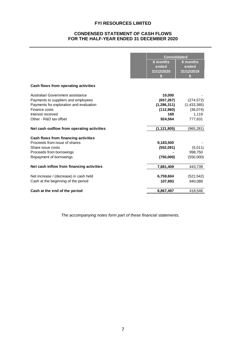## **CONDENSED STATEMENT OF CASH FLOWS FOR THE HALF-YEAR ENDED 31 DECEMBER 2020**

|                                            | <b>Consolidated</b>      |                          |
|--------------------------------------------|--------------------------|--------------------------|
|                                            | <b>6 months</b><br>ended | <b>6 months</b><br>ended |
|                                            | 31/12/2020<br>S          | 31/12/2019<br>S          |
|                                            |                          |                          |
| Cash flows from operating activities       |                          |                          |
| Australian Government assistance           | 10,000                   |                          |
| Payments to suppliers and employees        | (657, 267)               | (274, 572)               |
| Payments for exploration and evaluation    | (1, 286, 311)            | (1,433,385)              |
| Finance costs                              | (112,960)                | (36,074)                 |
| Interest received                          | 169                      | 1,119                    |
| Other - R&D tax offset                     | 924,564                  | 777,631                  |
| Net cash outflow from operating activities | (1, 121, 805)            | (965,281)                |
| Cash flows from financing activities       |                          |                          |
| Proceeds from issue of shares              | 9,183,500                |                          |
| Share issue costs                          | (552,091)                | (5,011)                  |
| Proceeds from borrowings                   |                          | 998,750                  |
| Repayment of borrowings                    | (750,000)                | (550,000)                |
| Net cash inflow from financing activities  | 7,881,409                | 443,739                  |
| Net increase / (decrease) in cash held     | 6,759,604                | (521, 542)               |
| Cash at the beginning of the period        | 107,893                  | 940,088                  |
| Cash at the end of the period              | 6,867,497                | 418,546                  |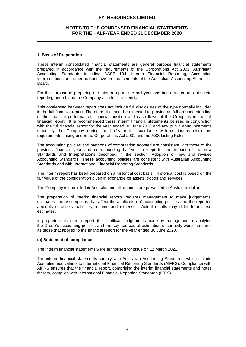#### **NOTES TO THE CONDENSED FINANCIAL STATEMENTS FOR THE HALF-YEAR ENDED 31 DECEMBER 2020**

#### **1. Basis of Preparation**

These interim consolidated financial statements are general purpose financial statements prepared in accordance with the requirements of the Corporations Act 2001, Australian Accounting Standards including AASB 134: Interim Financial Reporting, Accounting Interpretations and other authoritative pronouncements of the Australian Accounting Standards Board.

For the purpose of preparing the interim report, the half-year has been treated as a discrete reporting period, and the Company as a for-profit entity.

This condensed half-year report does not include full disclosures of the type normally included in the full financial report. Therefore, it cannot be expected to provide as full an understanding of the financial performance, financial position and cash flows of the Group as in the full financial report. It is recommended these interim financial statements be read in conjunction with the full financial report for the year ended 30 June 2020 and any public announcements made by the Company during the half-year in accordance with continuous disclosure requirements arising under the Corporations Act 2001 and the ASX Listing Rules.

The accounting policies and methods of computation adopted are consistent with those of the previous financial year and corresponding half-year, except for the impact of the new Standards and Interpretations described in the section 'Adoption of new and revised Accounting Standards'. These accounting policies are consistent with Australian Accounting Standards and with International Financial Reporting Standards.

The interim report has been prepared on a historical cost basis. Historical cost is based on the fair value of the consideration given in exchange for assets, goods and services.

The Company is domiciled in Australia and all amounts are presented in Australian dollars.

The preparation of interim financial reports requires management to make judgements, estimates and assumptions that affect the application of accounting policies and the reported amounts of assets, liabilities, income and expense. Actual results may differ from these estimates.

In preparing this interim report, the significant judgements made by management in applying the Group's accounting policies and the key sources of estimation uncertainty were the same as those that applied to the financial report for the year ended 30 June 2020.

#### **(a) Statement of compliance**

The interim financial statements were authorised for issue on 12 March 2021.

The interim financial statements comply with Australian Accounting Standards, which include Australian equivalents to International Financial Reporting Standards (AIFRS). Compliance with AIFRS ensures that the financial report, comprising the interim financial statements and notes thereto, complies with International Financial Reporting Standards (IFRS).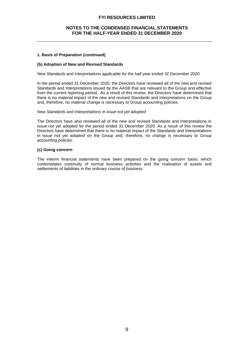#### **NOTES TO THE CONDENSED FINANCIAL STATEMENTS FOR THE HALF-YEAR ENDED 31 DECEMBER 2020**

#### **1. Basis of Preparation (continued)**

#### **(b) Adoption of New and Revised Standards**

#### *New Standards and Interpretations applicable for the half year ended 31 December 2020*

In the period ended 31 December 2020, the Directors have reviewed all of the new and revised Standards and Interpretations issued by the AASB that are relevant to the Group and effective from the current reporting period. As a result of this review, the Directors have determined that there is no material impact of the new and revised Standards and Interpretations on the Group and, therefore, no material change is necessary to Group accounting policies.

#### *New Standards and Interpretations in issue not yet adopted*

The Directors have also reviewed all of the new and revised Standards and Interpretations in issue not yet adopted for the period ended 31 December 2020. As a result of this review the Directors have determined that there is no material impact of the Standards and Interpretations in issue not yet adopted on the Group and, therefore, no change is necessary to Group accounting policies.

#### **(c) Going concern**

The interim financial statements have been prepared on the going concern basis, which contemplates continuity of normal business activities and the realisation of assets and settlements of liabilities in the ordinary course of business.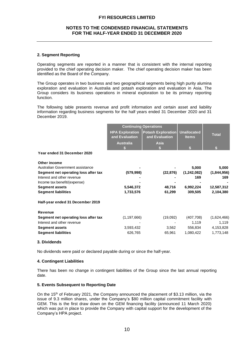#### **NOTES TO THE CONDENSED FINANCIAL STATEMENTS FOR THE HALF-YEAR ENDED 31 DECEMBER 2020**

#### **2. Segment Reporting**

Operating segments are reported in a manner that is consistent with the internal reporting provided to the chief operating decision maker. The chief operating decision maker has been identified as the Board of the Company.

The Group operates in two business and two geographical segments being high purity alumina exploration and evaluation in Australia and potash exploration and evaluation in Asia. The Group considers its business operations in mineral exploration to be its primary reporting function.

The following table presents revenue and profit information and certain asset and liability information regarding business segments for the half years ended 31 December 2020 and 31 December 2019.

|                                                       |                                          | <b>Continuing Operations</b>                |                                    |                    |
|-------------------------------------------------------|------------------------------------------|---------------------------------------------|------------------------------------|--------------------|
|                                                       | <b>HPA Exploration</b><br>and Evaluation | <b>Potash Exploration</b><br>and Evaluation | <b>Unallocated</b><br><b>Items</b> | <b>Total</b>       |
|                                                       | <b>Australia</b>                         | <b>Asia</b>                                 |                                    |                    |
| Year ended 31 December 2020                           |                                          |                                             |                                    |                    |
| Other income<br>Australian Government assistance      |                                          |                                             | 5,000                              | 5,000              |
| Segment net operating loss after tax                  | (579, 998)                               | (22, 876)                                   | (1,242,082)                        | (1,844,956)        |
| Interest and other revenue                            |                                          |                                             | 169                                | 169                |
| Income tax benefit/(expense)<br><b>Segment assets</b> | 5,546,372                                | 48,716                                      | 6,992,224                          | 12,587,312         |
| <b>Segment liabilities</b>                            | 1,733,576                                | 61,299                                      | 309,505                            | 2,104,380          |
| Half-year ended 31 December 2019                      |                                          |                                             |                                    |                    |
| <b>Revenue</b>                                        |                                          |                                             |                                    |                    |
| Segment net operating loss after tax                  | (1, 197, 666)                            | (19,092)                                    | (407,708)                          | (1,624,466)        |
| Interest and other revenue<br><b>Segment assets</b>   | 3,593,432                                | 3,562                                       | 1,119<br>556,834                   | 1,119<br>4,153,828 |
| <b>Segment liabilities</b>                            | 626,765                                  | 65,961                                      | 1,080,422                          | 1,773,148          |

#### **3. Dividends**

No dividends were paid or declared payable during or since the half-year.

#### **4. Contingent Liabilities**

There has been no change in contingent liabilities of the Group since the last annual reporting date.

#### **5. Events Subsequent to Reporting Date**

On the 15<sup>th</sup> of February 2021, the Company announced the placement of \$3.13 million, via the issue of 9.3 million shares, under the Company's \$80 million capital commitment facility with GEM. This is the first draw down on the GEM financing facility (announced 11 March 2020) which was put in place to provide the Company with capital support for the development of the Company's HPA project.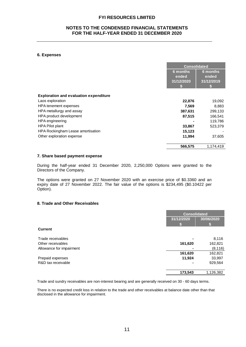#### **NOTES TO THE CONDENSED FINANCIAL STATEMENTS FOR THE HALF-YEAR ENDED 31 DECEMBER 2020**

#### **6. Expenses**

|                                               |                                 | <b>Consolidated</b>             |
|-----------------------------------------------|---------------------------------|---------------------------------|
|                                               | 6 months<br>ended<br>31/12/2020 | 6 months<br>ended<br>31/12/2019 |
| <b>Exploration and evaluation expenditure</b> |                                 |                                 |
| Laos exploration                              | 22,876                          | 19,092                          |
| HPA tenement expenses                         | 7,569                           | 8,883                           |
| HPA metallurgy and assay                      | 387,631                         | 299,133                         |
| HPA product development                       | 87,515                          | 166,541                         |
| HPA engineering                               |                                 | 119,786                         |
| <b>HPA Pilot plant</b>                        | 33,867                          | 523,379                         |
| HPA Rockingham Lease amortisation             | 15,123                          |                                 |
| Other exploration expense                     | 11,994                          | 37,605                          |
|                                               | 566,575                         | 1,174,419                       |

#### **7. Share based payment expense**

During the half-year ended 31 December 2020, 2,250,000 Options were granted to the Directors of the Company.

The options were granted on 27 November 2020 with an exercise price of \$0.3360 and an expiry date of 27 November 2022. The fair value of the options is \$234,495 (\$0.10422 per Option).

#### **8. Trade and Other Receivables**

|                          | <b>Consolidated</b>      |           |  |
|--------------------------|--------------------------|-----------|--|
|                          | 30/06/2020<br>31/12/2020 |           |  |
|                          |                          |           |  |
| <b>Current</b>           |                          |           |  |
| Trade receivables        |                          | 8,116     |  |
| Other receivables        | 161,620                  | 162,821   |  |
| Allowance for impairment |                          | (8, 116)  |  |
|                          | 161,620                  | 162,821   |  |
| Prepaid expenses         | 11,924                   | 33,997    |  |
| R&D tax receivable       |                          | 929,564   |  |
|                          | 173,543                  | 1,126,382 |  |

Trade and sundry receivables are non-interest bearing and are generally received on 30 - 60 days terms.

There is no expected credit loss in relation to the trade and other receivables at balance date other than that disclosed in the allowance for impairment.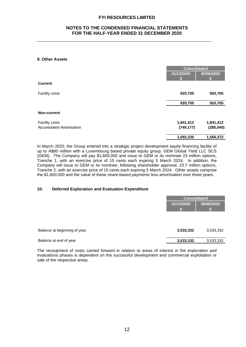#### **NOTES TO THE CONDENSED FINANCIAL STATEMENTS FOR THE HALF-YEAR ENDED 31 DECEMBER 2020**

#### **9. Other Assets**

|                                 | <b>Consolidated</b> |            |
|---------------------------------|---------------------|------------|
|                                 | 31/12/2020          | 30/06/2020 |
|                                 | w                   |            |
| <b>Current</b>                  |                     |            |
| Facility costs                  | 920,705             | 920,705    |
|                                 | 920,705             | 920,705    |
| <b>Non-current</b>              |                     |            |
| Facility costs                  | 1,841,412           | 1,841,412  |
| <b>Accumulated Amortisation</b> | (749, 177)          | (285, 040) |
|                                 | 1,092,235           | 1,556,372  |

In March 2020, the Group entered into a strategic project development equity financing facility of up to A\$80 million with a Luxembourg based private equity group, GEM Global Yield LLC SCS (GEM). The Company will pay \$1,600,000 and issue to GEM or its nominee 23 million options, Tranche 1, with an exercise price of 15 cents each expiring 5 March 2024. In addition, the Company will issue to GEM or its nominee, following shareholder approval, 23.7 million options, Tranche 2, with an exercise price of 15 cents each expiring 5 March 2024. Other assets comprise the \$1,600,000 and the value of these share-based payments less amortisation over three years.

#### **10. Deferred Exploration and Evaluation Expenditure**

| 31/12/2020<br>3,533,332<br>3,533,332                   | <b>Consolidated</b> |            |
|--------------------------------------------------------|---------------------|------------|
|                                                        |                     | 30/06/2020 |
| Balance at beginning of year<br>Balance at end of year |                     |            |
|                                                        |                     | 3,533,332  |
|                                                        |                     | 3,533,332  |

The recoupment of costs carried forward in relation to areas of interest in the exploration and evaluations phases is dependent on the successful development and commercial exploitation or sale of the respective areas.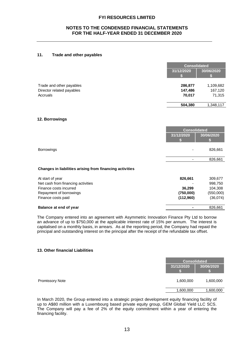#### **NOTES TO THE CONDENSED FINANCIAL STATEMENTS FOR THE HALF-YEAR ENDED 31 DECEMBER 2020**

#### **11. Trade and other payables**

|                           |            | <b>Consolidated</b> |
|---------------------------|------------|---------------------|
|                           | 31/12/2020 | 30/06/2020          |
| Trade and other payables  | 286,877    | 1,109,682           |
| Director related payables | 147,486    | 167,120             |
| Accruals                  | 70,017     | 71,315              |
|                           | 504,380    | 1,348,117           |

#### **12. Borrowings**

|                                                          | <b>Consolidated</b> |            |
|----------------------------------------------------------|---------------------|------------|
|                                                          | 31/12/2020          | 30/06/2020 |
|                                                          |                     |            |
| <b>Borrowings</b>                                        |                     | 826,661    |
|                                                          |                     |            |
|                                                          |                     | 826,661    |
| Changes in liabilities arising from financing activities |                     |            |
| At start of year                                         | 826,661             | 309,677    |
| Net cash from financing activities                       |                     | 998,750    |
| Finance costs incurred                                   | 36,299              | 104,308    |
| Repayment of borrowings                                  | (750,000)           | (550,000)  |
| Finance costs paid                                       | (112,960)           | (36,074)   |

#### **Balance at end of year 1826,661**

The Company entered into an agreement with Asymmetric Innovation Finance Pty Ltd to borrow an advance of up to \$750,000 at the applicable interest rate of 15% per annum. The interest is capitalised on a monthly basis, in arrears. As at the reporting period, the Company had repaid the principal and outstanding interest on the principal after the receipt of the refundable tax offset.

#### **13. Other financial Liabilities**

|                 |            | <b>Consolidated</b> |            |
|-----------------|------------|---------------------|------------|
|                 | 31/12/2020 |                     | 30/06/2020 |
| Promissory Note |            | 1,600,000           | 1,600,000  |
|                 |            | 1,600,000           | 1,600,000  |
|                 |            |                     |            |

In March 2020, the Group entered into a strategic project development equity financing facility of up to A\$80 million with a Luxembourg based private equity group, GEM Global Yield LLC SCS. The Company will pay a fee of 2% of the equity commitment within a year of entering the financing facility.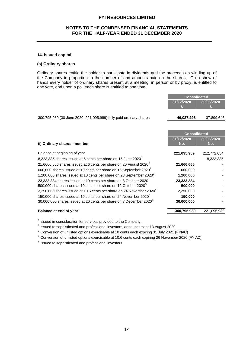#### **NOTES TO THE CONDENSED FINANCIAL STATEMENTS FOR THE HALF-YEAR ENDED 31 DECEMBER 2020**

#### **14. Issued capital**

#### **(a) Ordinary shares**

Ordinary shares entitle the holder to participate in dividends and the proceeds on winding up of the Company in proportion to the number of and amounts paid on the shares. On a show of hands every holder of ordinary shares present at a meeting, in person or by proxy, is entitled to one vote, and upon a poll each share is entitled to one vote.

|                                                                                | <b>Consolidated</b> |             |
|--------------------------------------------------------------------------------|---------------------|-------------|
|                                                                                | 31/12/2020          | 30/06/2020  |
|                                                                                |                     |             |
|                                                                                |                     |             |
| 300,795,989 (30 June 2020: 221,095,989) fully paid ordinary shares             | 46,027,298          | 37,899,646  |
|                                                                                |                     |             |
|                                                                                |                     |             |
|                                                                                | <b>Consolidated</b> |             |
|                                                                                | 31/12/2020          | 30/06/2020  |
| (i) Ordinary shares - number                                                   | No.                 | No.         |
|                                                                                |                     |             |
| Balance at beginning of year                                                   | 221,095,989         | 212,772,654 |
| 8,323,335 shares issued at 5 cents per share on 15 June 2020 <sup>1</sup>      |                     | 8,323,335   |
| 21,6666,666 shares issued at 6 cents per share on 20 August $2020^2$           | 21,666,666          |             |
| 600,000 shares issued at 10 cents per share on 16 September 2020 $^3$          | 600,000             |             |
| 1,200,000 shares issued at 10 cents per share on 23 September 2020 $^3$        | 1,200,000           |             |
| 23,333,334 shares issued at 10 cents per share on 8 October 2020 $^2$          | 23,333,334          |             |
| 500,000 shares issued at 10 cents per share on 12 October 2020 <sup>3</sup>    | 500,000             |             |
| 2,250,000 shares issued at 10.6 cents per share on 24 November 2020 $^4$       | 2,250,000           |             |
| 150,000 shares issued at 10 cents per share on 24 November 2020 $^3$           | 150,000             |             |
| 30,000,000 shares issued at 20 cents per share on 7 December 2020 <sup>5</sup> | 30,000,000          |             |
| Balance at end of year                                                         | 300,795,989         | 221,095,989 |
|                                                                                |                     |             |

 $1$  Issued in consideration for services provided to the Company.

 $^2$  Issued to sophisticated and professional investors, announcement 13 August 2020

 $3$  Conversion of unlisted options exercisable at 10 cents each expiring 31 July 2021 (FYIAC)

<sup>4</sup> Conversion of unlisted options exercisable at 10.6 cents each expiring 26 November 2020 (FYIAC)

<sup>5</sup> Issued to sophisticated and professional investors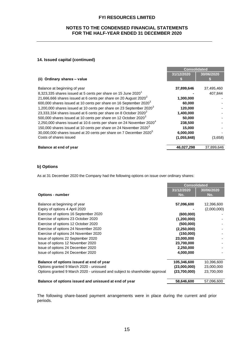#### **NOTES TO THE CONDENSED FINANCIAL STATEMENTS FOR THE HALF-YEAR ENDED 31 DECEMBER 2020**

#### **14. Issued capital (continued)**

|                                                                                  | <b>Consolidated</b> |            |
|----------------------------------------------------------------------------------|---------------------|------------|
|                                                                                  | 31/12/2020          | 30/06/2020 |
| (ii) Ordinary shares - value                                                     |                     |            |
| Balance at beginning of year                                                     | 37,899,646          | 37,495,460 |
| 8,323,335 shares issued at 5 cents per share on 15 June 2020 <sup>1</sup>        |                     | 407.844    |
| 21,666,666 shares issued at 6 cents per share on 20 August $2020^2$              | 1,300,000           |            |
| 600,000 shares issued at 10 cents per share on 16 September 2020 <sup>3</sup>    | 60,000              |            |
| 1,200,000 shares issued at 10 cents per share on 23 September 2020 <sup>3</sup>  | 120,000             |            |
| 23,333,334 shares issued at 6 cents per share on 8 October $2020^2$              | 1,400,000           |            |
| 500,000 shares issued at 10 cents per share on 12 October 2020 <sup>3</sup>      | 50,000              |            |
| 2,250,000 shares issued at 10.6 cents per share on 24 November 2020 <sup>4</sup> | 238,500             |            |
| 150,000 shares issued at 10 cents per share on 24 November 2020 <sup>3</sup>     | 15,000              |            |
| 30,000,000 shares issued at 20 cents per share on 7 December 2020 <sup>5</sup>   | 6,000,000           |            |
| Costs of shares issued                                                           | (1,055,848)         | (3,658)    |
| <b>Balance at end of year</b>                                                    | 46,027,298          | 37,899,646 |

#### **b) Options**

As at 31 December 2020 the Company had the following options on issue over ordinary shares:

|                                                                             | <b>Consolidated</b> |             |
|-----------------------------------------------------------------------------|---------------------|-------------|
|                                                                             | 31/12/2020          | 30/06/2020  |
| <b>Options - number</b>                                                     | No.                 | No.         |
|                                                                             |                     |             |
| Balance at beginning of year                                                | 57,096,600          | 12,396,600  |
| Expiry of options 4 April 2020                                              |                     | (2,000,000) |
| Exercise of options 16 September 2020                                       | (600,000)           |             |
| Exercise of options 23 October 2020                                         | (1,200,000)         |             |
| Exercise of options 12 October 2020                                         | (500,000)           |             |
| Exercise of options 24 November 2020                                        | (2,250,000)         |             |
| Exercise of options 24 November 2020                                        | (150,000)           |             |
| Issue of options 22 September 2020                                          | 23,000,000          |             |
| Issue of options 12 November 2020                                           | 23,700,000          |             |
| Issue of options 24 December 2020                                           | 2,250,000           |             |
| Issue of options 24 December 2020                                           | 4,000,000           |             |
| Balance of options issued at end of year                                    | 105,346,600         | 10,396,600  |
| Options granted 9 March 2020 - unissued                                     | (23,000,000)        | 23,000,000  |
| Options granted 9 March 2020 - unissued and subject to shareholder approval | (23,700,000)        | 23,700,000  |
|                                                                             |                     |             |
| Balance of options issued and unissued at end of year                       | 58,646,600          | 57,096,600  |

The following share-based payment arrangements were in place during the current and prior periods.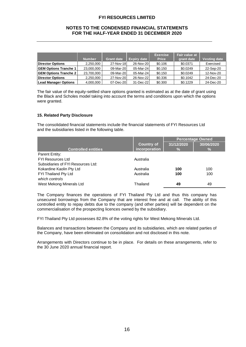#### **NOTES TO THE CONDENSED FINANCIAL STATEMENTS FOR THE HALF-YEAR ENDED 31 DECEMBER 2020**

|                              |               |                   |                    | <b>Exercise</b> | Fair value at |                     |
|------------------------------|---------------|-------------------|--------------------|-----------------|---------------|---------------------|
|                              | <b>Number</b> | <b>Grant date</b> | <b>Expiry date</b> | <b>Price</b>    | grant date    | <b>Vesting date</b> |
| <b>Director Options</b>      | 2.250.000     | 27-Nov-18         | 26-Nov-20          | \$0.106         | \$0.0371      | Exercised           |
| <b>GEM Options Tranche 1</b> | 23,000,000    | 09-Mar-20         | 05-Mar-24          | \$0.150         | \$0.0249      | 22-Sep-20           |
| <b>GEM Options Tranche 2</b> | 23,700,000    | 09-Mar-20         | 05-Mar-24          | \$0.150         | \$0.0249      | 12-Nov-20           |
| <b>Director Options</b>      | 2.250.000     | 27-Nov-20         | 26-Nov-22          | \$0.336         | \$0.1042      | 24-Dec-20           |
| <b>Lead Manager Options</b>  | 4,000,000     | 07-Dec-20         | 31-Dec-22          | \$0.300         | \$0.1229      | 24-Dec-20           |

The fair value of the equity-settled share options granted is estimated as at the date of grant using the Black and Scholes model taking into account the terms and conditions upon which the options were granted.

#### **15. Related Party Disclosure**

The consolidated financial statements include the financial statements of FYI Resources Ltd and the subsidiaries listed in the following table.

|                                    |                   | <b>Percentage Owned</b> |            |
|------------------------------------|-------------------|-------------------------|------------|
|                                    | <b>Country of</b> | 31/12/2020              | 30/06/2020 |
| <b>Controlled entities</b>         | incorporation     | $\frac{9}{6}$           | $\%$       |
| Parent Entity:                     |                   |                         |            |
| <b>FYI Resources Ltd</b>           | Australia         |                         |            |
| Subsidiaries of FYI Resources Ltd: |                   |                         |            |
| Kokardine Kaolin Pty Ltd           | Australia         | 100                     | 100        |
| FYI Thailand Pty Ltd               | Australia         | 100                     | 100        |
| which controls                     |                   |                         |            |
| West Mekong Minerals Ltd           | Thailand          | 49                      | 49         |

The Company finances the operations of FYI Thailand Pty Ltd and thus this company has unsecured borrowings from the Company that are interest free and at call. The ability of this controlled entity to repay debts due to the company (and other parties) will be dependent on the commercialisation of the prospecting licences owned by the subsidiary.

FYI Thailand Pty Ltd possesses 82.8% of the voting rights for West Mekong Minerals Ltd.

Balances and transactions between the Company and its subsidiaries, which are related parties of the Company, have been eliminated on consolidation and not disclosed in this note.

Arrangements with Directors continue to be in place. For details on these arrangements, refer to the 30 June 2020 annual financial report.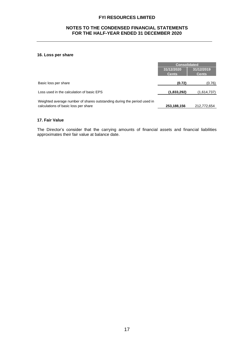#### **NOTES TO THE CONDENSED FINANCIAL STATEMENTS FOR THE HALF-YEAR ENDED 31 DECEMBER 2020**

#### **16. Loss per share**

|                                                                                                                 | <b>Consolidated</b>        |                            |
|-----------------------------------------------------------------------------------------------------------------|----------------------------|----------------------------|
|                                                                                                                 | 31/12/2020<br><b>Cents</b> | 31/12/2019<br><b>Cents</b> |
| Basic loss per share                                                                                            | (0.72)                     | (0.76)                     |
| Loss used in the calculation of basic EPS                                                                       | (1,833,292)                | (1,614,737)                |
| Weighted average number of shares outstanding during the period used in<br>calculations of basic loss per share | 253,188,156                | 212,772,654                |

#### **17. Fair Value**

The Director's consider that the carrying amounts of financial assets and financial liabilities approximates their fair value at balance date.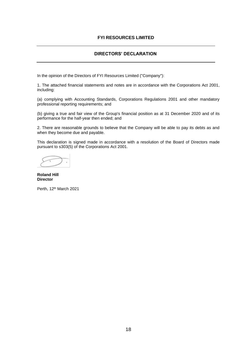## **DIRECTORS' DECLARATION**

In the opinion of the Directors of FYI Resources Limited ("Company"):

1. The attached financial statements and notes are in accordance with the Corporations Act 2001, including:

(a) complying with Accounting Standards, Corporations Regulations 2001 and other mandatory professional reporting requirements; and

(b) giving a true and fair view of the Group's financial position as at 31 December 2020 and of its performance for the half-year then ended; and

2. There are reasonable grounds to believe that the Company will be able to pay its debts as and when they become due and payable.

This declaration is signed made in accordance with a resolution of the Board of Directors made pursuant to s303(5) of the Corporations Act 2001.

**Roland Hill Director**

Perth, 12<sup>th</sup> March 2021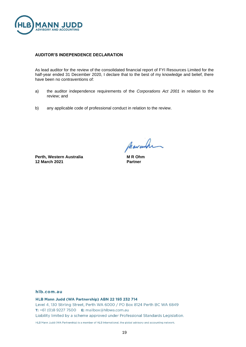

#### **AUDITOR'S INDEPENDENCE DECLARATION**

As lead auditor for the review of the consolidated financial report of FYI Resources Limited for the half-year ended 31 December 2020, I declare that to the best of my knowledge and belief, there have been no contraventions of:

- a) the auditor independence requirements of the *Corporations Act 2001* in relation to the review; and
- b) any applicable code of professional conduct in relation to the review.

**Perth, Western Australia 12 March 2021**

Marcula

**M R Ohm Partner**

#### hlb.com.au

HLB Mann Judd (WA Partnership) ABN 22 193 232 714 Level 4, 130 Stirling Street, Perth WA 6000 / PO Box 8124 Perth BC WA 6849 T: +61 (0)8 9227 7500 E: mailbox@hlbwa.com.au Liability limited by a scheme approved under Professional Standards Legislation.

HLB Mann Judd (WA Partnership) is a member of HLB International, the global advisory and accounting network.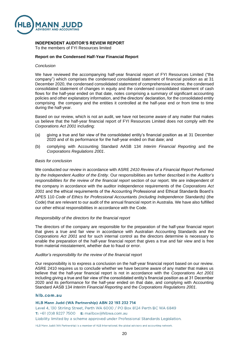

#### **INDEPENDENT AUDITOR'S REVIEW REPORT**

To the members of FYI Resources limited

#### **Report on the Condensed Half-Year Financial Report**

#### *Conclusion*

We have reviewed the accompanying half-year financial report of FYI Resources Limited ("the company") which comprises the condensed consolidated statement of financial position as at 31 December 2020, the condensed consolidated statement of comprehensive income, the condensed consolidated statement of changes in equity and the condensed consolidated statement of cash flows for the half-year ended on that date, notes comprising a summary of significant accounting policies and other explanatory information, and the directors' declaration, for the consolidated entity comprising the company and the entities it controlled at the half-year end or from time to time during the half-year.

Based on our review, which is not an audit, we have not become aware of any matter that makes us believe that the half-year financial report of FYI Resources Limited does not comply with the *Corporations Act 2001* including:

- (a) giving a true and fair view of the consolidated entity's financial position as at 31 December 2020 and of its performance for the half-year ended on that date; and
- (b) complying with Accounting Standard AASB 134 *Interim Financial Reporting* and the *Corporations Regulations 2001*.

#### *Basis for conclusion*

We conducted our review in accordance with ASRE *2410 Review of a Financial Report Performed by the Independent Auditor of the Entity*. Our responsibilities are further described in the *Auditor's responsibilities for the review of the financial report* section of our report. We are independent of the company in accordance with the auditor independence requirements of the *Corporations Act 2001* and the ethical requirements of the Accounting Professional and Ethical Standards Board's APES 110 *Code of Ethics for Professional Accountants (including Independence Standards)* (the Code) that are relevant to our audit of the annual financial report in Australia. We have also fulfilled our other ethical responsibilities in accordance with the Code.

#### *Responsibility of the directors for the financial report*

The directors of the company are responsible for the preparation of the half-year financial report that gives a true and fair view in accordance with Australian Accounting Standards and the *Corporations Act 2001* and for such internal control as the directors determine is necessary to enable the preparation of the half-year financial report that gives a true and fair view and is free from material misstatement, whether due to fraud or error.

#### *Auditor's responsibility for the review of the financial report*

Our responsibility is to express a conclusion on the half-year financial report based on our review. ASRE 2410 requires us to conclude whether we have become aware of any matter that makes us believe that the half-year financial report is not in accordance with the *Corporations Act 2001* including giving a true and fair view of the consolidated entity's financial position as at 31 December 2020 and its performance for the half-year ended on that date, and complying with Accounting Standard AASB 134 *Interim Financial Reporting* and the *Corporations Regulations 2001*.

#### hlb.com.au

HLB Mann Judd (WA Partnership) ABN 22 193 232 714

Level 4, 130 Stirling Street, Perth WA 6000 / PO Box 8124 Perth BC WA 6849 T: +61 (0)8 9227 7500 E: mailbox@hlbwa.com.au

Liability limited by a scheme approved under Professional Standards Legislation.

HLB Mann Judd (WA Partnership) is a member of HLB International, the global advisory and accounting network.